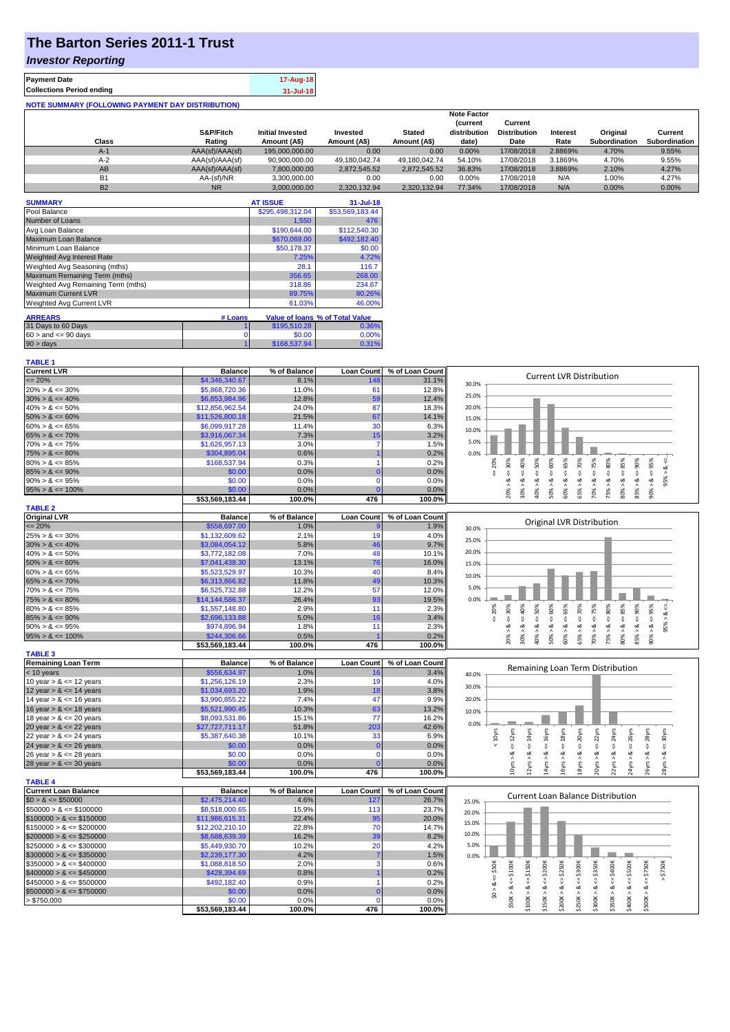# **The Barton Series 2011-1 Trust**

### *Investor Reporting*

**TABLE 1**

| <b>Payment Date</b>                                      | 17-Aug-18     |
|----------------------------------------------------------|---------------|
| <b>Collections Period ending</b>                         | $31 -$ Jul-18 |
| <b>NOTE SUMMARY (FOLLOWING PAYMENT DAY DISTRIBUTION)</b> |               |

|                |                 |                         |               |               | <b>Note Factor</b> |                     |                 |               |               |
|----------------|-----------------|-------------------------|---------------|---------------|--------------------|---------------------|-----------------|---------------|---------------|
|                |                 |                         |               |               | <b>Current</b>     | Current             |                 |               |               |
|                | S&P/Fitch       | <b>Initial Invested</b> | Invested      | <b>Stated</b> | distribution       | <b>Distribution</b> | <b>Interest</b> | Original      | Current       |
| Class          | Rating          | Amount (A\$)            | Amount (A\$)  | Amount (A\$)  | date)              | Date                | Rate            | Subordination | Subordination |
| $A-1$          | AAA(sf)/AAA(sf) | 195,000,000,00          | 0.00          | 0.00          | 0.00%              | 17/08/2018          | 2.8869%         | 4.70%         | 9.55%         |
| $A-2$          | AAA(sf)/AAA(sf) | 90,900,000.00           | 49.180.042.74 | 49.180.042.74 | 54.10%             | 17/08/2018          | 3.1869%         | 4.70%         | 9.55%         |
| AB             | AAA(sf)/AAA(sf) | 7,800,000.00            | 2.872.545.52  | 2.872.545.52  | 36.83%             | 17/08/2018          | 3.8869%         | 2.10%         | 4.27%         |
| B <sub>1</sub> | AA-(sf)/NR      | 3.300.000.00            | 0.00          | 0.00          | $0.00\%$           | 17/08/2018          | N/A             | 1.00%         | 4.27%         |
| <b>B2</b>      | <b>NR</b>       | 3.000.000.00            | 2.320.132.94  | 2.320.132.94  | 77.34%             | 17/08/2018          | N/A             | $0.00\%$      | 0.00%         |

| <b>SUMMARY</b>                                               |   | <b>AT ISSUE</b>  | $31 -$ Jul-18   |  |  |  |
|--------------------------------------------------------------|---|------------------|-----------------|--|--|--|
| Pool Balance                                                 |   | \$295,498,312.04 | \$53,569,183.44 |  |  |  |
| Number of Loans                                              |   | 1,550            | 476             |  |  |  |
| Avg Loan Balance                                             |   | \$190,644.00     | \$112,540.30    |  |  |  |
| Maximum Loan Balance                                         |   | \$670,069.00     | \$492,182,40    |  |  |  |
| Minimum Loan Balance                                         |   | \$50.178.37      | \$0.00          |  |  |  |
| <b>Weighted Avg Interest Rate</b>                            |   | 7.25%            | 4.72%           |  |  |  |
| Weighted Avg Seasoning (mths)                                |   | 28.1             | 116.7           |  |  |  |
| Maximum Remaining Term (mths)                                |   | 356.65           | 268.00          |  |  |  |
| Weighted Avg Remaining Term (mths)                           |   | 318.86           | 234.67          |  |  |  |
| <b>Maximum Current LVR</b>                                   |   | 89.75%           | 80.26%          |  |  |  |
| Weighted Avg Current LVR                                     |   | 61.03%           | 46.00%          |  |  |  |
| <b>ARREARS</b><br>Value of Ioans % of Total Value<br># Loans |   |                  |                 |  |  |  |
|                                                              |   |                  |                 |  |  |  |
| 31 Days to 60 Days                                           |   | \$195,510.28     | 0.36%           |  |  |  |
| $60 >$ and $\leq 90$ days                                    | 0 | \$0.00           | 0.00%           |  |  |  |
| $90 > \text{days}$                                           |   | \$168,537.94     | 0.31%           |  |  |  |

| <b>Current LVR</b>          | <b>Balance</b>            | % of Balance   | <b>Loan Count</b> | % of Loan Count | <b>Current LVR Distribution</b>                                                                                                                                                                                                            |
|-----------------------------|---------------------------|----------------|-------------------|-----------------|--------------------------------------------------------------------------------------------------------------------------------------------------------------------------------------------------------------------------------------------|
| $= 20%$                     | \$4,346,340.67            | 8.1%           | 148               | 31.1%           | 30.0%                                                                                                                                                                                                                                      |
| $20\% > 8 \le 30\%$         | \$5,868,720.36            | 11.0%          | 61                | 12.8%           |                                                                                                                                                                                                                                            |
| $30\% > 8 \le 40\%$         | \$6,853,984.96            | 12.8%          | 59                | 12.4%           | 25.0%                                                                                                                                                                                                                                      |
| $40\% > 8 \le 50\%$         | \$12,856,962.54           | 24.0%          | 87                | 18.3%           | 20.0%                                                                                                                                                                                                                                      |
| $50\% > 8 \le 60\%$         | \$11,526,800.18           | 21.5%          | 67                | 14.1%           | 15.0%                                                                                                                                                                                                                                      |
| $60\% > 8 \le 65\%$         | \$6,099,917.28            | 11.4%          | 30                | 6.3%            |                                                                                                                                                                                                                                            |
| $65\% > 8 \le 70\%$         | \$3,916,067.34            | 7.3%           | 15                | 3.2%            | 10.0%                                                                                                                                                                                                                                      |
| $70\% > 8 \le 75\%$         | \$1,626,957.13            | 3.0%           | 7                 | 1.5%            | 5.0%                                                                                                                                                                                                                                       |
| $75\% > 8 \le 80\%$         | \$304,895.04              | 0.6%           |                   | 0.2%            | 0.0%                                                                                                                                                                                                                                       |
| $80\% > 8 \le 85\%$         | \$168,537.94              | 0.3%           |                   | 0.2%            | 20%<br>30%<br>40%<br>$50\%$<br>70%<br>95%                                                                                                                                                                                                  |
| $85\% > 8 \le 90\%$         | \$0.00                    | 0.0%           |                   | 0.0%            | $4 = 65\%$<br>ઌ<br>IJ,                                                                                                                                                                                                                     |
| $90\% > 8 \le 95\%$         | \$0.00                    | 0.0%           | $\Omega$          | 0.0%            | $8 - 60%$<br>$8 - 75%$<br>$\overset{  }{\vee}$<br>V<br>$\stackrel{\scriptscriptstyle \text{II}}{\mathsf{v}}$<br>$\overset{  }{\vee}$<br>95% ><br>ಷ<br>ವ<br>ø                                                                               |
| $95\% > 8 \le 100\%$        | \$0.00                    | 0.0%           |                   | 0.0%            | $75\% > 8. < = 80\%$<br>$80\% > 8 \leq 85\%$<br>$85% > 8 < = 90%$<br>30% >                                                                                                                                                                 |
|                             | \$53,569,183.44           | 100.0%         | 476               | 100.0%          | 60% > 8.<br>$90\% > 8.$<br>40% ><br>50% ><br>70% ><br>65%                                                                                                                                                                                  |
| <b>TABLE 2</b>              |                           |                |                   |                 |                                                                                                                                                                                                                                            |
|                             |                           |                |                   |                 |                                                                                                                                                                                                                                            |
| <b>Original LVR</b>         | <b>Balance</b>            | % of Balance   | <b>Loan Count</b> | % of Loan Count | Original LVR Distribution                                                                                                                                                                                                                  |
| $= 20%$                     | \$558,697.00              | 1.0%           |                   | 1.9%            | 30.0%                                                                                                                                                                                                                                      |
| $25\% > 8 \le 30\%$         | \$1,132,609.62            | 2.1%           | 19                | 4.0%            | 25.0%                                                                                                                                                                                                                                      |
| $30\% > 8 \le 40\%$         | \$3,084,054.12            | 5.8%           | 46                | 9.7%            |                                                                                                                                                                                                                                            |
| $40\% > 8 \le 50\%$         | \$3,772,182.08            | 7.0%           | 48                | 10.1%           | 20.0%                                                                                                                                                                                                                                      |
| $50\% > 8 \le 60\%$         | \$7,041,438.30            | 13.1%          | 76                | 16.0%           | 15.0%                                                                                                                                                                                                                                      |
| $60\% > 8 \le 65\%$         | \$5,523,529.97            | 10.3%          | 40                | 8.4%            | 10.0%                                                                                                                                                                                                                                      |
| $65\% > 8 \le 70\%$         | \$6,313,866.82            | 11.8%          | 49                | 10.3%           |                                                                                                                                                                                                                                            |
| $70\% > 8 \le 75\%$         | \$6,525,732.88            | 12.2%          | 57                | 12.0%           | 5.0%                                                                                                                                                                                                                                       |
| $75\% > 8 \le 80\%$         | \$14,144,586.37           | 26.4%          | 93                | 19.5%           | 0.0%                                                                                                                                                                                                                                       |
| $80\% > 8 \le 85\%$         | \$1,557,148.80            | 2.9%           | 11                | 2.3%            | $4 = 90\%$<br>500%<br>$4 = 75%$<br>$\le 80\%$<br>30%<br>40%<br>$\epsilon = 50\%$<br>$\le 65\%$<br>$4 = 70\%$<br>$4 = 95%$<br>20%<br>$<=$                                                                                                   |
| $85\% > 8 \le 90\%$         | \$2,696,133.88            | 5.0%           | 16                | 3.4%            | <b>V</b><br>8                                                                                                                                                                                                                              |
| $90\% > 8 \le 95\%$         | \$974,896.94              | 1.8%           | 11                | 2.3%            | 95% ><br>ಷ<br>త<br>ø<br>œ                                                                                                                                                                                                                  |
| $95\% > 8 \le 100\%$        | \$244,306.66              | 0.5%           |                   | 0.2%            | $80\% > 8 \leq 85\%$<br>$50\% > 8.$<br>$60\% > 8.$<br>$70\% > 8.$<br>75% > 8.<br>85% > 8.<br>$90\% > 8.$<br>40% ><br>30% ><br>65% >                                                                                                        |
|                             | \$53,569,183.44           | 100.0%         | 476               | 100.0%          | 20%                                                                                                                                                                                                                                        |
| <b>TABLE 3</b>              |                           |                |                   |                 |                                                                                                                                                                                                                                            |
| <b>Remaining Loan Term</b>  | <b>Balance</b>            | % of Balance   | <b>Loan Count</b> | % of Loan Count |                                                                                                                                                                                                                                            |
| < 10 years                  | \$556,634.97              | 1.0%           | 16                | 3.4%            | Remaining Loan Term Distribution                                                                                                                                                                                                           |
| 10 year $> 8 \le 12$ years  | \$1,256,126.19            | 2.3%           | 19                | 4.0%            | 40.0%                                                                                                                                                                                                                                      |
| 12 year $> 8 \le 14$ years  | \$1,034,693.20            | 1.9%           | 18                | 3.8%            | 30.0%                                                                                                                                                                                                                                      |
| 14 year $> 8 \le 16$ years  | \$3,990,855.22            | 7.4%           | 47                | 9.9%            | 20.0%                                                                                                                                                                                                                                      |
|                             | \$5,521,990.45            | 10.3%          | 63                | 13.2%           |                                                                                                                                                                                                                                            |
| 16 year $> 8 \le 18$ years  |                           |                |                   |                 | 10.0%                                                                                                                                                                                                                                      |
| 18 year $> 8 \le 20$ years  | \$8,093,531.86            | 15.1%          | 77<br>203         | 16.2%<br>42.6%  | 0.0%                                                                                                                                                                                                                                       |
| 20 year $> 8 \le 22$ years  | \$27,727,711.17           | 51.8%          |                   |                 |                                                                                                                                                                                                                                            |
| 22 year $> 8 \le 24$ years  | \$5,387,640.38            | 10.1%          | 33                | 6.9%            | $\epsilon$ = 22 $\gamma$ rs<br>$\epsilon$ = 24 $\gamma$ rs<br>$<$ 16 $y$ rs<br>$\leq 18$ yrs<br>$\epsilon$ = 20 $\gamma$ rs<br>$\leq$ 26yrs<br>$\leq$ 28 $\gamma$ rs<br>$< 10$ yrs<br>$\leq$ 14yrs<br>30yrs<br>$\epsilon$ = 12 $\gamma$ rs |
| 24 year $> 8 \le 26$ years  | \$0.00                    | 0.0%           |                   | 0.0%            | ₩<br>œ                                                                                                                                                                                                                                     |
| 26 year $> 8 \le 28$ years  | \$0.00                    | 0.0%           | $\mathbf 0$       | 0.0%            | ø<br>ಷ<br>ø                                                                                                                                                                                                                                |
| 28 year $> 8 \le 30$ years  | \$0.00                    | 0.0%           |                   | 0.0%            | 12yrs > 8<br>14yrs > 8<br>22yrs > 8<br>24yrs > 8<br>20yrs > 8<br>28yrs > 8<br>LOyrs ><br>16yrs > 8<br>18yrs<br>26yrs > 8                                                                                                                   |
|                             | \$53,569,183.44           | 100.0%         | 476               | 100.0%          |                                                                                                                                                                                                                                            |
| <b>TABLE 4</b>              |                           |                |                   |                 |                                                                                                                                                                                                                                            |
| <b>Current Loan Balance</b> | <b>Balance</b>            | % of Balance   | <b>Loan Count</b> | % of Loan Count | <b>Current Loan Balance Distribution</b>                                                                                                                                                                                                   |
| $$0 > 8 \leq $50000$        | \$2,475,214.40            | 4.6%           | 127               | 26.7%           | 25.0%                                                                                                                                                                                                                                      |
| $$50000 > 8 \le $100000$    | \$8,518,000.65            | 15.9%          | 113               | 23.7%           | 20.0%                                                                                                                                                                                                                                      |
| $$100000 > 8 \leq $150000$  | \$11,986,615.31           | 22.4%          | 95                | 20.0%           |                                                                                                                                                                                                                                            |
| $$150000 > 8 \leq $200000$  | \$12,202,210.10           | 22.8%          | 70                | 14.7%           | 15.0%                                                                                                                                                                                                                                      |
| $$200000 > 8 \leq $250000$  | \$8,688,639.39            | 16.2%          | 39                | 8.2%            | 10.0%                                                                                                                                                                                                                                      |
| $$250000 > 8 \leq $300000$  | \$5,449,930.70            | 10.2%          | 20                | 4.2%            | 5.0%                                                                                                                                                                                                                                       |
| $$300000 > 8 \leq $350000$  | \$2,239,177.30            | 4.2%           |                   | 1.5%            | 0.0%                                                                                                                                                                                                                                       |
| $$350000 > 8 \leq $400000$  | \$1,088,818.50            | 2.0%           |                   | 0.6%            |                                                                                                                                                                                                                                            |
| $$400000 > 8 \leq $450000$  | \$428,394.69              | 0.8%           |                   | 0.2%            | \$150K<br>$4 = $200K$<br><b>\$250K</b><br>$>$ \$750K<br>\$50K                                                                                                                                                                              |
| $$450000 > 8 \leq $500000$  | \$492,182.40              | 0.9%           |                   | 0.2%            | $\overset{\shortparallel}{\mathsf{v}}$                                                                                                                                                                                                     |
|                             |                           | 0.0%           |                   | 0.0%            | $$50K > 8 <= $100K$<br>$$250K > <= $300K$<br>$$300K > < = $350K$<br>$$350K > 8 <= $400K$<br>$$400K > 8 <= $500K$<br>$$500K > 8 <= $750K$<br>$$100K > 8 <=$<br>\$0 > 8.                                                                     |
| $$500000 > 8 \leq $750000$  | \$0.00                    |                | $\Omega$          |                 | \$150K > 8<br>\$200K > 8                                                                                                                                                                                                                   |
| > \$750,000                 | \$0.00<br>\$53,569,183.44 | 0.0%<br>100.0% | 476               | 0.0%            |                                                                                                                                                                                                                                            |
|                             |                           |                |                   | 100.0%          |                                                                                                                                                                                                                                            |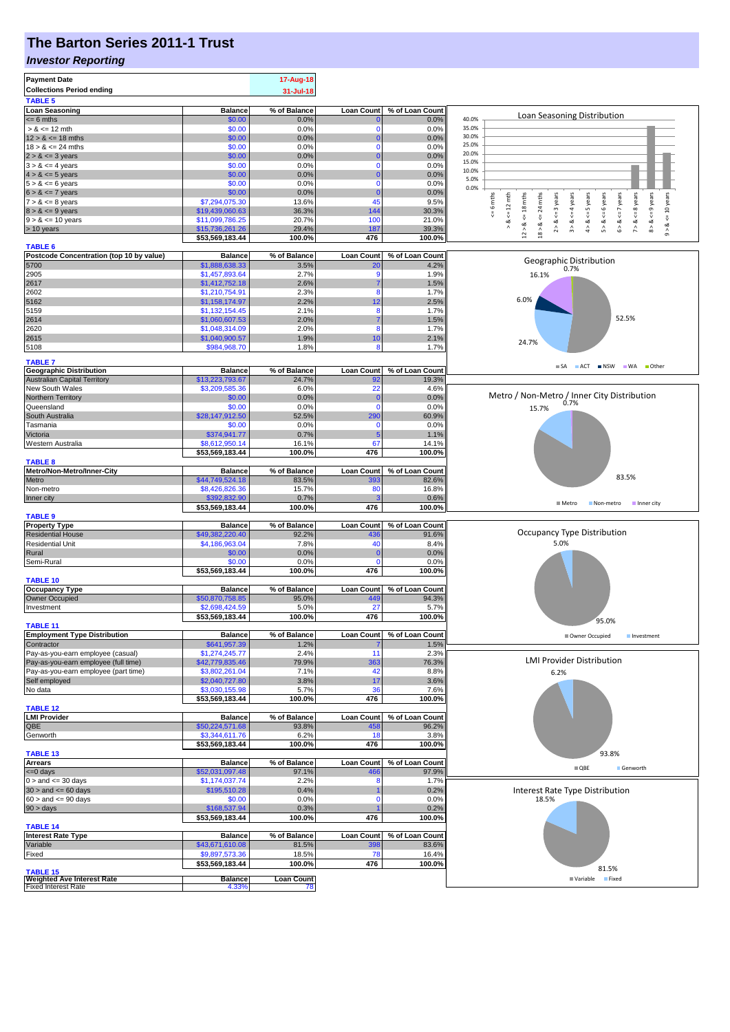# **The Barton Series 2011-1 Trust**

#### *Investor Reporting*

| <b>Payment Date</b><br><b>Collections Period ending</b>         |                                   | 17-Aug-18<br>31-Jul-18  |                          |                          |                                                                                                                                                                                                                        |
|-----------------------------------------------------------------|-----------------------------------|-------------------------|--------------------------|--------------------------|------------------------------------------------------------------------------------------------------------------------------------------------------------------------------------------------------------------------|
| <b>TABLE 5</b>                                                  |                                   |                         |                          |                          |                                                                                                                                                                                                                        |
| <b>Loan Seasoning</b><br>$= 6$ mths                             | <b>Balance</b><br>\$0.00          | % of Balance<br>0.0%    | <b>Loan Count</b>        | % of Loan Count<br>0.0%  | Loan Seasoning Distribution<br>40.0%                                                                                                                                                                                   |
| $> 8 \le 12$ mth                                                | \$0.00                            | 0.0%                    | -0                       | 0.0%                     | 35.0%                                                                                                                                                                                                                  |
| $12 > 8 \le 18$ mths                                            | \$0.00                            | 0.0%                    | $\Omega$                 | 0.0%                     | 30.0%                                                                                                                                                                                                                  |
| $18 > 8 \le 24$ mths                                            | \$0.00                            | 0.0%                    |                          | 0.0%                     | 25.0%<br>20.0%                                                                                                                                                                                                         |
| $2 > 8 \le 3$ years<br>$3 > 8 \le 4$ years                      | \$0.00<br>\$0.00                  | 0.0%<br>0.0%            | $\Omega$                 | 0.0%<br>0.0%             | 15.0%                                                                                                                                                                                                                  |
| $4 > 8 \le 5$ years                                             | \$0.00                            | 0.0%                    |                          | 0.0%                     | 10.0%                                                                                                                                                                                                                  |
| $5 > 8 \le 6$ years                                             | \$0.00                            | 0.0%                    | $\Omega$                 | 0.0%                     | 5.0%<br>0.0%                                                                                                                                                                                                           |
| $6 > 8 \le 7$ years                                             | \$0.00                            | 0.0%                    | $\Omega$                 | 0.0%                     |                                                                                                                                                                                                                        |
| $7 > 8 \le 8$ years<br>$8 > 8 \le 9$ years                      | \$7,294,075.30<br>\$19,439,060.63 | 13.6%<br>36.3%          | 45<br>144                | 9.5%<br>30.3%            | $\leq$ 8 years<br>$8 > 8 < 9$ years<br>$\leq 6$ mths<br>24 mths<br>$\le$ = 10 years<br>$2 > 8 < 3$ years<br>$4 > 8 < z = 5$ years<br>$5 > 8 <$ = 6 years<br>$6 > 8 < z < 7$ years<br>$\leq 12$ mth<br>$\leq$ = 4 years |
| $9 > 8 \le 10$ years                                            | \$11,099,786.25                   | 20.7%                   | 100                      | 21.0%                    | $\stackrel{\scriptscriptstyle{  }}{\mathsf{v}}$                                                                                                                                                                        |
| > 10 years                                                      | \$15,736,261.26                   | 29.4%                   | 187                      | 39.3%                    | $12 > 8$ <= 18 mths<br>$\frac{8}{1}$<br>3 > 8<br>$7 > 8$ .<br>$18 > 8$<br>ಷ<br>$\hat{\circ}$                                                                                                                           |
|                                                                 | \$53,569,183.44                   | 100.0%                  | 476                      | 100.0%                   |                                                                                                                                                                                                                        |
| <b>TABLE 6</b><br>Postcode Concentration (top 10 by value)      | <b>Balance</b>                    | % of Balance            | <b>Loan Count</b>        | % of Loan Count          |                                                                                                                                                                                                                        |
| 5700                                                            | \$1,888,638.33                    | 3.5%                    | <b>20</b>                | 4.2%                     | Geographic Distribution<br>0.7%                                                                                                                                                                                        |
| 2905                                                            | \$1,457,893.64                    | 2.7%                    | .g                       | 1.9%                     | 16.1%                                                                                                                                                                                                                  |
| 2617                                                            | \$1,412,752.18                    | 2.6%<br>2.3%            | 8                        | 1.5%<br>1.7%             |                                                                                                                                                                                                                        |
| 2602<br>5162                                                    | \$1,210,754.91<br>\$1,158,174.97  | 2.2%                    | 12                       | 2.5%                     | 6.0%                                                                                                                                                                                                                   |
| 5159                                                            | \$1,132,154.45                    | 2.1%                    | 8                        | 1.7%                     |                                                                                                                                                                                                                        |
| 2614                                                            | \$1,060,607.53                    | 2.0%                    |                          | 1.5%                     | 52.5%                                                                                                                                                                                                                  |
| 2620                                                            | \$1,048,314.09                    | 2.0%                    | 8                        | 1.7%                     |                                                                                                                                                                                                                        |
| 2615<br>5108                                                    | \$1,040,900.57<br>\$984,968.70    | 1.9%<br>1.8%            | 10<br>8                  | 2.1%<br>1.7%             | 24.7%                                                                                                                                                                                                                  |
|                                                                 |                                   |                         |                          |                          |                                                                                                                                                                                                                        |
| <b>TABLE 7</b><br><b>Geographic Distribution</b>                | <b>Balance</b>                    | % of Balance            | <b>Loan Count</b>        | % of Loan Count          | $\blacksquare$ SA<br>ACT NSW WA Other                                                                                                                                                                                  |
| <b>Australian Capital Territory</b>                             | \$13,223,793.67                   | 24.7%                   | 92                       | 19.3%                    |                                                                                                                                                                                                                        |
| New South Wales                                                 | \$3,209,585.36                    | 6.0%                    | 22                       | 4.6%                     |                                                                                                                                                                                                                        |
| Northern Territory                                              | \$0.00                            | 0.0%                    | $\Omega$                 | 0.0%                     | Metro / Non-Metro / Inner City Distribution                                                                                                                                                                            |
| Queensland<br>South Australia                                   | \$0.00<br>\$28,147,912.50         | 0.0%<br>52.5%           | $\Omega$<br>290          | 0.0%<br>60.9%            | 15.7%                                                                                                                                                                                                                  |
| Tasmania                                                        | \$0.00                            | 0.0%                    | $\Omega$                 | 0.0%                     |                                                                                                                                                                                                                        |
| Victoria                                                        | \$374,941.77                      | 0.7%                    | 5                        | 1.1%                     |                                                                                                                                                                                                                        |
| Western Australia                                               | \$8,612,950.14                    | 16.1%                   | 67                       | 14.1%                    |                                                                                                                                                                                                                        |
| <b>TABLE 8</b>                                                  | \$53,569,183.44                   | 100.0%                  | 476                      | 100.0%                   |                                                                                                                                                                                                                        |
| Metro/Non-Metro/Inner-City                                      | <b>Balance</b>                    | % of Balance            | <b>Loan Count</b>        | % of Loan Count          |                                                                                                                                                                                                                        |
| Metro                                                           | \$44,749,524.18                   | 83.5%                   | 393                      | 82.6%                    | 83.5%                                                                                                                                                                                                                  |
| Non-metro                                                       | \$8,426,826.36                    | 15.7%                   | 80                       | 16.8%                    |                                                                                                                                                                                                                        |
| Inner city                                                      | \$392,832.90<br>\$53,569,183.44   | 0.7%<br>100.0%          | 476                      | 0.6%<br>100.0%           | <b>■ Metro</b><br>Non-metro<br>Inner city                                                                                                                                                                              |
| <b>TABLE 9</b>                                                  |                                   |                         |                          |                          |                                                                                                                                                                                                                        |
| <b>Property Type</b>                                            | <b>Balance</b>                    | % of Balance            | <b>Loan Count</b>        | % of Loan Count          |                                                                                                                                                                                                                        |
| <b>Residential House</b>                                        | \$49,382,220.40                   | 92.2%                   | 436                      | 91.6%                    | Occupancy Type Distribution<br>5.0%                                                                                                                                                                                    |
| <b>Residential Unit</b><br>Rural                                | \$4,186,963.04<br>\$0.00          | 7.8%<br>0.0%            | 40<br>$\mathbf 0$        | 8.4%<br>0.0%             |                                                                                                                                                                                                                        |
| Semi-Rural                                                      | \$0.00                            | 0.0%                    | $\Omega$                 | 0.0%                     |                                                                                                                                                                                                                        |
|                                                                 | \$53,569,183.44                   | 100.0%                  | 476                      | 100.0%                   |                                                                                                                                                                                                                        |
| <b>TABLE 10</b>                                                 |                                   |                         |                          |                          |                                                                                                                                                                                                                        |
| <b>Occupancy Type</b><br><b>Owner Occupied</b>                  | <b>Balance</b><br>\$50,870,758.85 | % of Balance<br>95.0%   | <b>Loan Count</b><br>449 | % of Loan Count<br>94.3% |                                                                                                                                                                                                                        |
| Investment                                                      | \$2,698,424.59                    | 5.0%                    | 27                       | 5.7%                     |                                                                                                                                                                                                                        |
|                                                                 | \$53,569,183.44                   | 100.0%                  | 476                      | 100.0%                   | 95.0%                                                                                                                                                                                                                  |
| <b>TABLE 11</b>                                                 | <b>Balance</b>                    | % of Balance            | <b>Loan Count</b>        | % of Loan Count          |                                                                                                                                                                                                                        |
| <b>Employment Type Distribution</b><br>Contractor               | \$641,957.39                      | 1.2%                    |                          | 1.5%                     | Owner Occupied<br>Investment                                                                                                                                                                                           |
| Pay-as-you-earn employee (casual)                               | \$1,274,245.77                    | 2.4%                    | 11                       | 2.3%                     |                                                                                                                                                                                                                        |
| Pay-as-you-earn employee (full time)                            | \$42,779,835.46                   | 79.9%                   | 363                      | 76.3%                    | <b>LMI Provider Distribution</b>                                                                                                                                                                                       |
| Pay-as-you-earn employee (part time)<br>Self employed           | \$3,802,261.04                    | 7.1%<br>3.8%            | 42<br>17                 | 8.8%<br>3.6%             | 6.2%                                                                                                                                                                                                                   |
| No data                                                         | \$2,040,727.80<br>\$3,030,155.98  | 5.7%                    | 36                       | 7.6%                     |                                                                                                                                                                                                                        |
|                                                                 | \$53,569,183.44                   | 100.0%                  | 476                      | 100.0%                   |                                                                                                                                                                                                                        |
| <b>TABLE 12</b>                                                 |                                   |                         |                          |                          |                                                                                                                                                                                                                        |
| <b>LMI Provider</b><br>QBE                                      | <b>Balance</b>                    | % of Balance<br>93.8%   | <b>Loan Count</b><br>458 | % of Loan Count<br>96.2% |                                                                                                                                                                                                                        |
| Genworth                                                        | \$50,224,571.68<br>\$3,344,611.76 | 6.2%                    | 18                       | 3.8%                     |                                                                                                                                                                                                                        |
|                                                                 | \$53,569,183.44                   | 100.0%                  | 476                      | 100.0%                   |                                                                                                                                                                                                                        |
| <b>TABLE 13</b>                                                 |                                   |                         |                          |                          | 93.8%                                                                                                                                                                                                                  |
| <b>Arrears</b><br>$= 0$ days                                    | <b>Balance</b><br>\$52,031,097.48 | % of Balance<br>97.1%   | <b>Loan Count</b><br>466 | % of Loan Count<br>97.9% | $\blacksquare$ QBE<br>Genworth                                                                                                                                                                                         |
| $0 >$ and $\leq 30$ days                                        | \$1,174,037.74                    | 2.2%                    | 8                        | 1.7%                     |                                                                                                                                                                                                                        |
| $30 >$ and $\leq 60$ days                                       | \$195,510.28                      | 0.4%                    |                          | 0.2%                     | Interest Rate Type Distribution                                                                                                                                                                                        |
| $60 >$ and $\leq 90$ days                                       | \$0.00                            | 0.0%                    | $\Omega$                 | 0.0%                     | 18.5%                                                                                                                                                                                                                  |
| 90 > days                                                       | \$168,537.94<br>\$53,569,183.44   | 0.3%<br>100.0%          | 476                      | 0.2%<br>100.0%           |                                                                                                                                                                                                                        |
| <b>TABLE 14</b>                                                 |                                   |                         |                          |                          |                                                                                                                                                                                                                        |
| <b>Interest Rate Type</b>                                       | <b>Balance</b>                    | % of Balance            | <b>Loan Count</b>        | % of Loan Count          |                                                                                                                                                                                                                        |
| Variable                                                        | \$43,671,610.08                   | 81.5%                   | 398                      | 83.6%                    |                                                                                                                                                                                                                        |
| Fixed                                                           | \$9,897,573.36<br>\$53,569,183.44 | 18.5%<br>100.0%         | 78<br>476                | 16.4%<br>100.0%          |                                                                                                                                                                                                                        |
| <b>TABLE 15</b>                                                 |                                   |                         |                          |                          | 81.5%                                                                                                                                                                                                                  |
| <b>Weighted Ave Interest Rate</b><br><b>Fixed Interest Rate</b> | <b>Balance</b><br>4.33%           | <b>Loan Count</b><br>78 |                          |                          | Variable Fixed                                                                                                                                                                                                         |